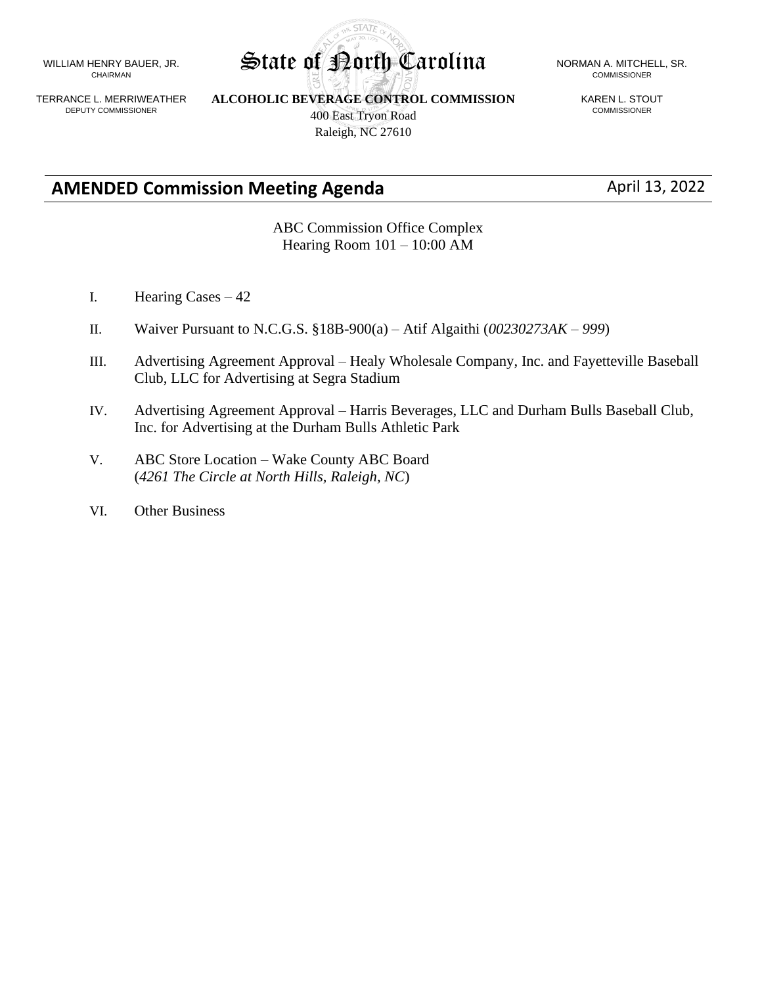WILLIAM HENRY BAUER, JR. CHAIRMAN

TERRANCE L. MERRIWEATHER DEPUTY COMMISSIONER

**ALCOHOLIC BEVERAGE CONTROL COMMISSION** 400 East Tryon Road Raleigh, NC 27610

**STATE** 

KAREN L. STOUT COMMISSIONER

## **AMENDED Commission Meeting Agenda** April 13, 2022

ABC Commission Office Complex Hearing Room 101 – 10:00 AM

- I. Hearing Cases 42
- II. Waiver Pursuant to N.C.G.S. §18B-900(a) Atif Algaithi (*00230273AK – 999*)
- III. Advertising Agreement Approval Healy Wholesale Company, Inc. and Fayetteville Baseball Club, LLC for Advertising at Segra Stadium
- IV. Advertising Agreement Approval Harris Beverages, LLC and Durham Bulls Baseball Club, Inc. for Advertising at the Durham Bulls Athletic Park
- V. ABC Store Location Wake County ABC Board (*4261 The Circle at North Hills, Raleigh, NC*)
- VI. Other Business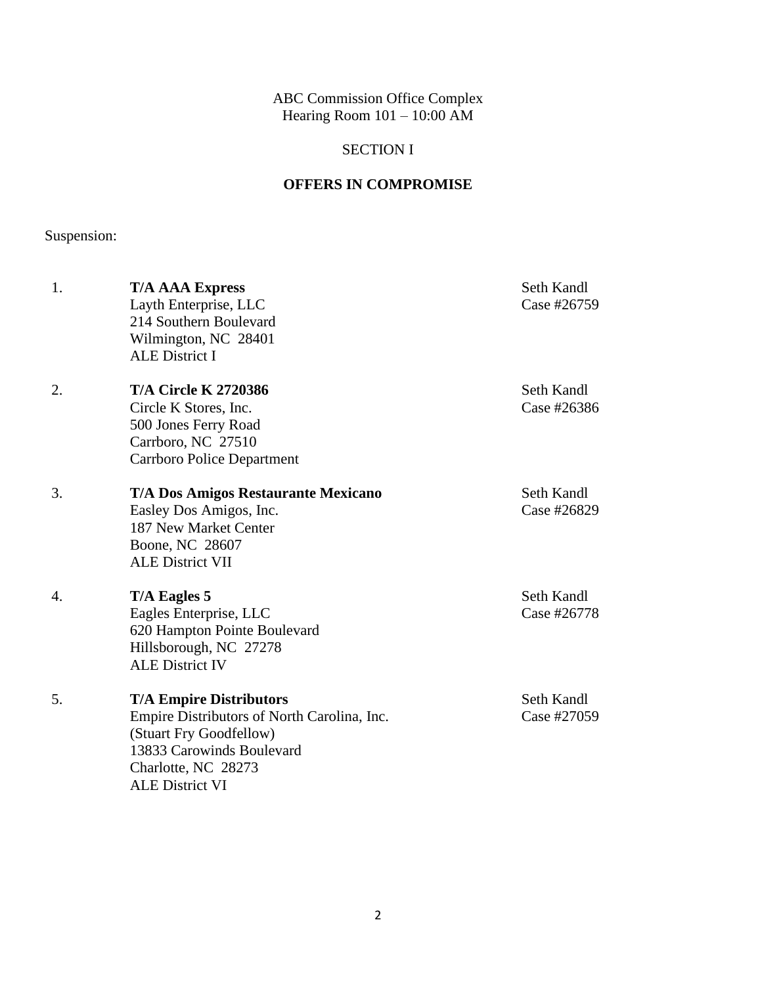ABC Commission Office Complex Hearing Room 101 – 10:00 AM

## SECTION I

## **OFFERS IN COMPROMISE**

Suspension:

| 1. | <b>T/A AAA Express</b><br>Layth Enterprise, LLC<br>214 Southern Boulevard<br>Wilmington, NC 28401<br><b>ALE District I</b>                                                             | Seth Kandl<br>Case #26759 |
|----|----------------------------------------------------------------------------------------------------------------------------------------------------------------------------------------|---------------------------|
| 2. | <b>T/A Circle K 2720386</b><br>Circle K Stores, Inc.<br>500 Jones Ferry Road<br>Carrboro, NC 27510<br><b>Carrboro Police Department</b>                                                | Seth Kandl<br>Case #26386 |
| 3. | <b>T/A Dos Amigos Restaurante Mexicano</b><br>Easley Dos Amigos, Inc.<br>187 New Market Center<br>Boone, NC 28607<br><b>ALE District VII</b>                                           | Seth Kandl<br>Case #26829 |
| 4. | T/A Eagles 5<br>Eagles Enterprise, LLC<br>620 Hampton Pointe Boulevard<br>Hillsborough, NC 27278<br><b>ALE District IV</b>                                                             | Seth Kandl<br>Case #26778 |
| 5. | <b>T/A Empire Distributors</b><br>Empire Distributors of North Carolina, Inc.<br>(Stuart Fry Goodfellow)<br>13833 Carowinds Boulevard<br>Charlotte, NC 28273<br><b>ALE District VI</b> | Seth Kandl<br>Case #27059 |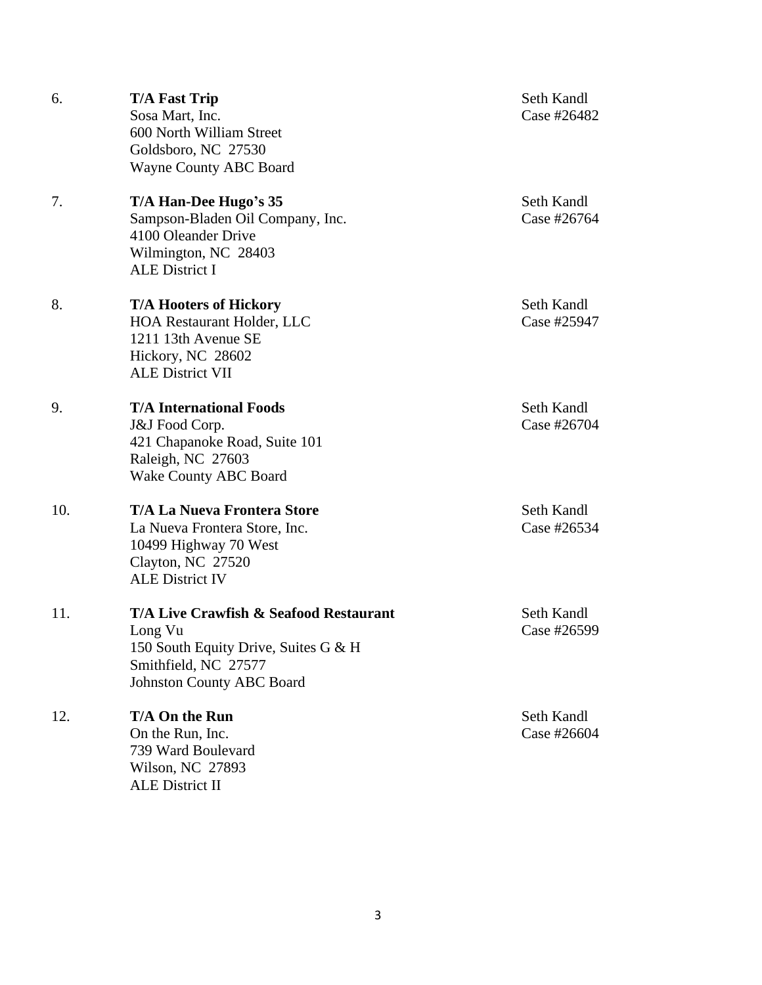| 6.  | <b>T/A Fast Trip</b><br>Sosa Mart, Inc.<br>600 North William Street<br>Goldsboro, NC 27530<br>Wayne County ABC Board                                  | Seth Kandl<br>Case #26482 |
|-----|-------------------------------------------------------------------------------------------------------------------------------------------------------|---------------------------|
| 7.  | T/A Han-Dee Hugo's 35<br>Sampson-Bladen Oil Company, Inc.<br>4100 Oleander Drive<br>Wilmington, NC 28403<br><b>ALE District I</b>                     | Seth Kandl<br>Case #26764 |
| 8.  | <b>T/A Hooters of Hickory</b><br><b>HOA Restaurant Holder, LLC</b><br>1211 13th Avenue SE<br>Hickory, NC 28602<br><b>ALE District VII</b>             | Seth Kandl<br>Case #25947 |
| 9.  | <b>T/A International Foods</b><br>J&J Food Corp.<br>421 Chapanoke Road, Suite 101<br>Raleigh, NC 27603<br><b>Wake County ABC Board</b>                | Seth Kandl<br>Case #26704 |
| 10. | <b>T/A La Nueva Frontera Store</b><br>La Nueva Frontera Store, Inc.<br>10499 Highway 70 West<br>Clayton, NC 27520<br><b>ALE District IV</b>           | Seth Kandl<br>Case #26534 |
| 11. | T/A Live Crawfish & Seafood Restaurant<br>Long Vu<br>150 South Equity Drive, Suites G & H<br>Smithfield, NC 27577<br><b>Johnston County ABC Board</b> | Seth Kandl<br>Case #26599 |
| 12. | T/A On the Run<br>On the Run, Inc.<br>739 Ward Boulevard<br>Wilson, NC 27893<br><b>ALE District II</b>                                                | Seth Kandl<br>Case #26604 |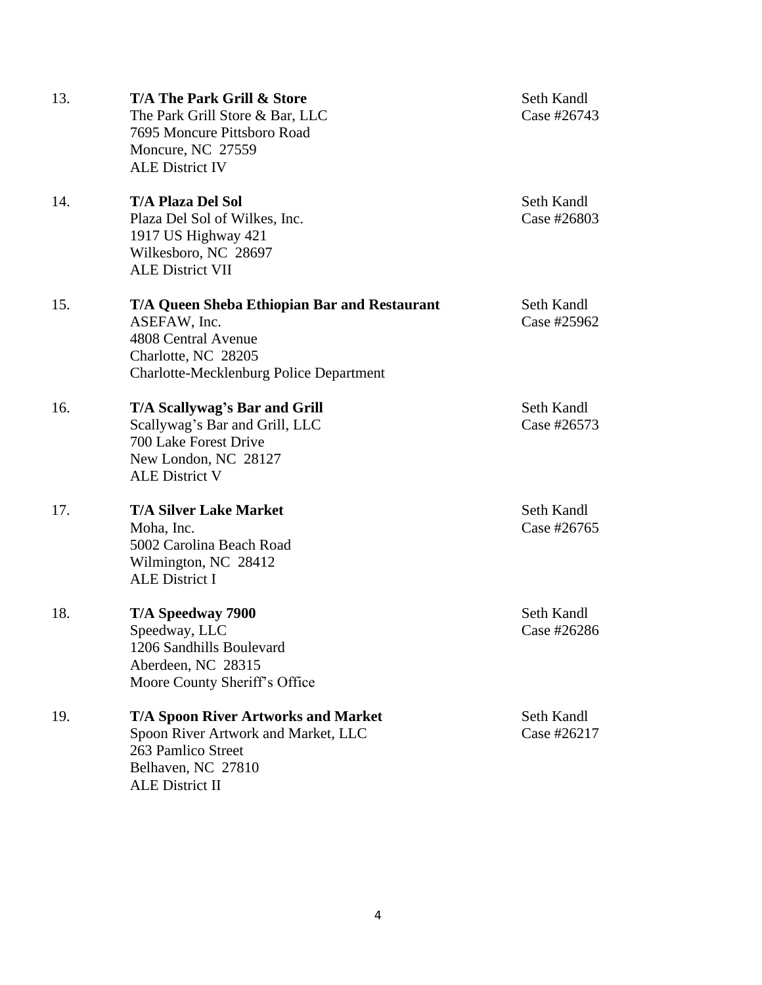| 13. | <b>T/A The Park Grill &amp; Store</b><br>The Park Grill Store & Bar, LLC<br>7695 Moncure Pittsboro Road<br>Moncure, NC 27559<br><b>ALE District IV</b>              | Seth Kandl<br>Case #26743 |
|-----|---------------------------------------------------------------------------------------------------------------------------------------------------------------------|---------------------------|
| 14. | <b>T/A Plaza Del Sol</b><br>Plaza Del Sol of Wilkes, Inc.<br>1917 US Highway 421<br>Wilkesboro, NC 28697<br><b>ALE District VII</b>                                 | Seth Kandl<br>Case #26803 |
| 15. | <b>T/A Queen Sheba Ethiopian Bar and Restaurant</b><br>ASEFAW, Inc.<br>4808 Central Avenue<br>Charlotte, NC 28205<br><b>Charlotte-Mecklenburg Police Department</b> | Seth Kandl<br>Case #25962 |
| 16. | T/A Scallywag's Bar and Grill<br>Scallywag's Bar and Grill, LLC<br>700 Lake Forest Drive<br>New London, NC 28127<br><b>ALE District V</b>                           | Seth Kandl<br>Case #26573 |
| 17. | <b>T/A Silver Lake Market</b><br>Moha, Inc.<br>5002 Carolina Beach Road<br>Wilmington, NC 28412<br><b>ALE District I</b>                                            | Seth Kandl<br>Case #26765 |
| 18. | T/A Speedway 7900<br>Speedway, LLC<br>1206 Sandhills Boulevard<br>Aberdeen, NC 28315<br>Moore County Sheriff's Office                                               | Seth Kandl<br>Case #26286 |
| 19. | <b>T/A Spoon River Artworks and Market</b><br>Spoon River Artwork and Market, LLC<br>263 Pamlico Street<br>Belhaven, NC 27810<br><b>ALE District II</b>             | Seth Kandl<br>Case #26217 |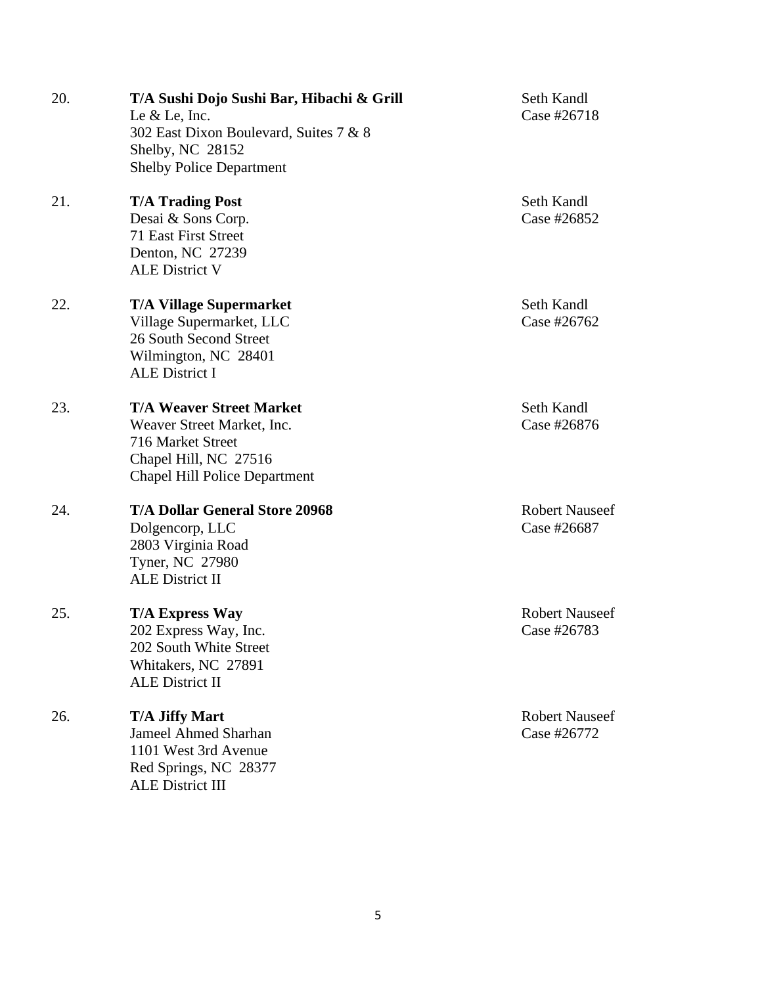| 20. | T/A Sushi Dojo Sushi Bar, Hibachi & Grill<br>Le $&$ Le, Inc.<br>302 East Dixon Boulevard, Suites 7 & 8<br>Shelby, NC 28152<br><b>Shelby Police Department</b> | Seth Kandl<br>Case #26718            |
|-----|---------------------------------------------------------------------------------------------------------------------------------------------------------------|--------------------------------------|
| 21. | <b>T/A Trading Post</b><br>Desai & Sons Corp.<br>71 East First Street<br>Denton, NC 27239<br><b>ALE District V</b>                                            | Seth Kandl<br>Case #26852            |
| 22. | <b>T/A Village Supermarket</b><br>Village Supermarket, LLC<br>26 South Second Street<br>Wilmington, NC 28401<br><b>ALE District I</b>                         | Seth Kandl<br>Case #26762            |
| 23. | <b>T/A Weaver Street Market</b><br>Weaver Street Market, Inc.<br>716 Market Street<br>Chapel Hill, NC 27516<br><b>Chapel Hill Police Department</b>           | Seth Kandl<br>Case #26876            |
| 24. | <b>T/A Dollar General Store 20968</b><br>Dolgencorp, LLC<br>2803 Virginia Road<br>Tyner, NC 27980<br><b>ALE District II</b>                                   | <b>Robert Nauseef</b><br>Case #26687 |
| 25. | <b>T/A Express Way</b><br>202 Express Way, Inc.<br>202 South White Street<br>Whitakers, NC 27891<br><b>ALE District II</b>                                    | <b>Robert Nauseef</b><br>Case #26783 |
| 26. | <b>T/A Jiffy Mart</b><br><b>Jameel Ahmed Sharhan</b><br>1101 West 3rd Avenue<br>Red Springs, NC 28377<br><b>ALE District III</b>                              | <b>Robert Nauseef</b><br>Case #26772 |

5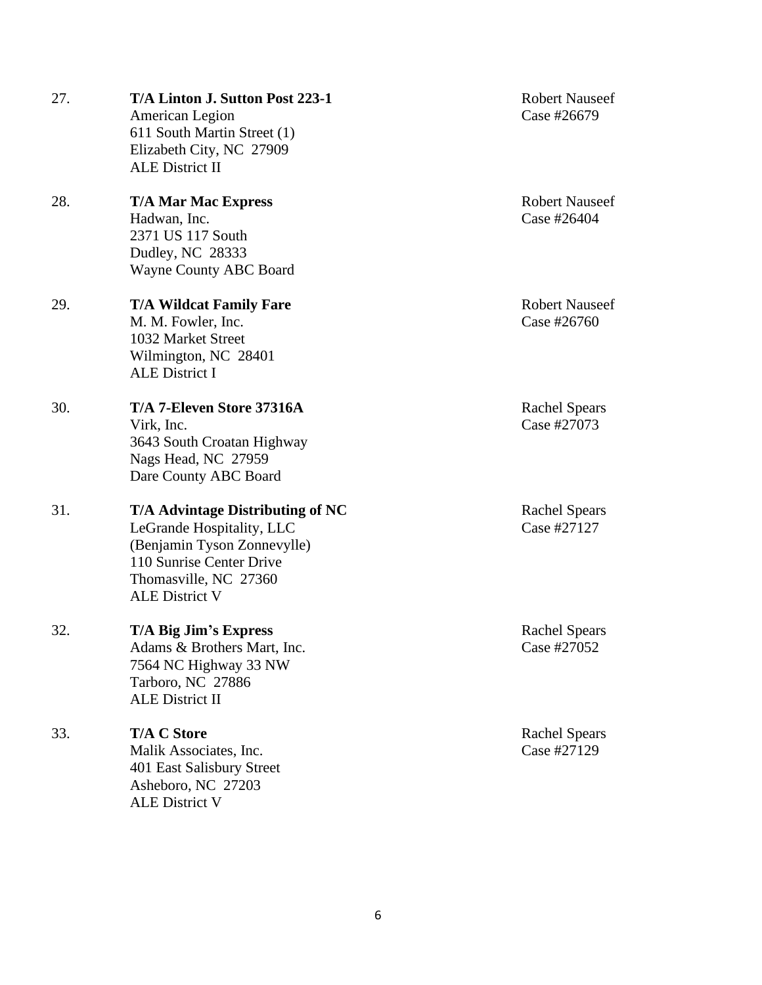| 27. | T/A Linton J. Sutton Post 223-1<br>American Legion<br>611 South Martin Street (1)<br>Elizabeth City, NC 27909<br><b>ALE District II</b>                                    | <b>Robert Nauseef</b><br>Case #26679 |
|-----|----------------------------------------------------------------------------------------------------------------------------------------------------------------------------|--------------------------------------|
| 28. | <b>T/A Mar Mac Express</b><br>Hadwan, Inc.<br>2371 US 117 South<br>Dudley, NC 28333<br>Wayne County ABC Board                                                              | <b>Robert Nauseef</b><br>Case #26404 |
| 29. | <b>T/A Wildcat Family Fare</b><br>M. M. Fowler, Inc.<br>1032 Market Street<br>Wilmington, NC 28401<br><b>ALE District I</b>                                                | <b>Robert Nauseef</b><br>Case #26760 |
| 30. | T/A 7-Eleven Store 37316A<br>Virk, Inc.<br>3643 South Croatan Highway<br>Nags Head, NC 27959<br>Dare County ABC Board                                                      | <b>Rachel Spears</b><br>Case #27073  |
| 31. | T/A Advintage Distributing of NC<br>LeGrande Hospitality, LLC<br>(Benjamin Tyson Zonnevylle)<br>110 Sunrise Center Drive<br>Thomasville, NC 27360<br><b>ALE District V</b> | <b>Rachel Spears</b><br>Case #27127  |
| 32. | T/A Big Jim's Express<br>Adams & Brothers Mart, Inc.<br>7564 NC Highway 33 NW<br>Tarboro, NC 27886<br><b>ALE District II</b>                                               | <b>Rachel Spears</b><br>Case #27052  |
| 33. | <b>T/A C Store</b><br>Malik Associates, Inc.<br>401 East Salisbury Street<br>Asheboro, NC 27203<br><b>ALE District V</b>                                                   | <b>Rachel Spears</b><br>Case #27129  |

6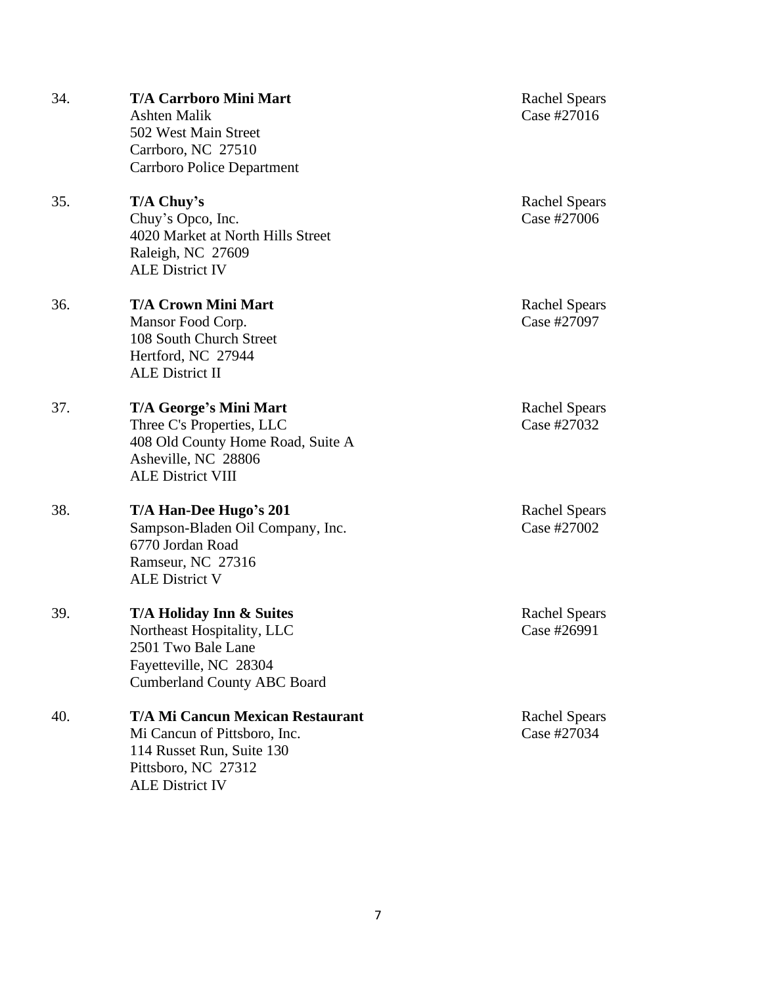| 34. | <b>T/A Carrboro Mini Mart</b><br><b>Ashten Malik</b><br>502 West Main Street<br>Carrboro, NC 27510<br><b>Carrboro Police Department</b>               | <b>Rachel Spears</b><br>Case #27016 |
|-----|-------------------------------------------------------------------------------------------------------------------------------------------------------|-------------------------------------|
| 35. | T/A Chuy's<br>Chuy's Opco, Inc.<br>4020 Market at North Hills Street<br>Raleigh, NC 27609<br><b>ALE District IV</b>                                   | <b>Rachel Spears</b><br>Case #27006 |
| 36. | <b>T/A Crown Mini Mart</b><br>Mansor Food Corp.<br>108 South Church Street<br>Hertford, NC 27944<br><b>ALE District II</b>                            | <b>Rachel Spears</b><br>Case #27097 |
| 37. | T/A George's Mini Mart<br>Three C's Properties, LLC<br>408 Old County Home Road, Suite A<br>Asheville, NC 28806<br><b>ALE District VIII</b>           | <b>Rachel Spears</b><br>Case #27032 |
| 38. | T/A Han-Dee Hugo's 201<br>Sampson-Bladen Oil Company, Inc.<br>6770 Jordan Road<br>Ramseur, NC 27316<br><b>ALE District V</b>                          | <b>Rachel Spears</b><br>Case #27002 |
| 39. | T/A Holiday Inn & Suites<br>Northeast Hospitality, LLC<br>2501 Two Bale Lane<br>Fayetteville, NC 28304<br><b>Cumberland County ABC Board</b>          | <b>Rachel Spears</b><br>Case #26991 |
| 40. | <b>T/A Mi Cancun Mexican Restaurant</b><br>Mi Cancun of Pittsboro, Inc.<br>114 Russet Run, Suite 130<br>Pittsboro, NC 27312<br><b>ALE District IV</b> | <b>Rachel Spears</b><br>Case #27034 |

7